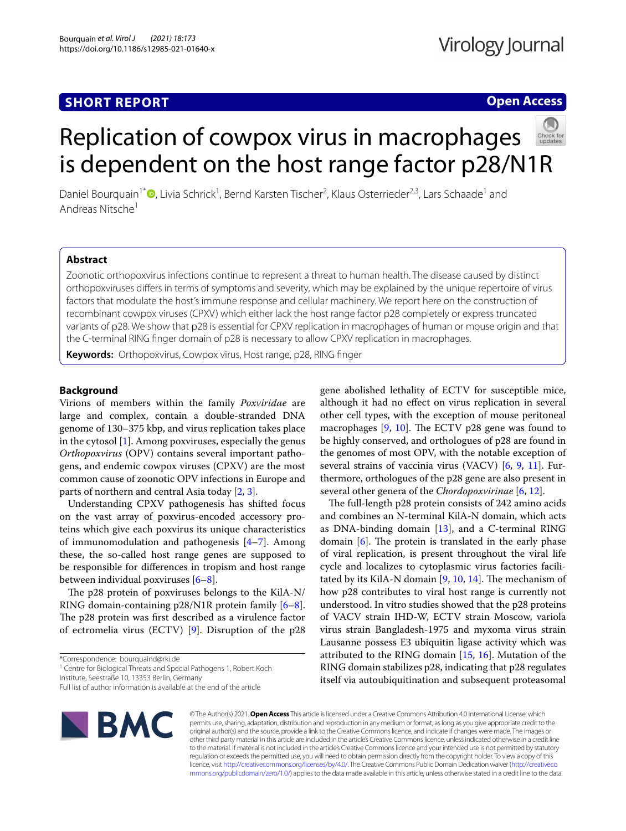# **SHORT REPORT**

## **Open Access**

# Replication of cowpox virus in macrophages is dependent on the host range factor p28/N1R

Daniel Bourquain<sup>1\*</sup><sup>®</sup>[,](http://orcid.org/0000-0001-5075-8870) Livia Schrick<sup>1</sup>, Bernd Karsten Tischer<sup>2</sup>, Klaus Osterrieder<sup>2,3</sup>, Lars Schaade<sup>1</sup> and Andreas Nitsche<sup>1</sup>

## **Abstract**

Zoonotic orthopoxvirus infections continue to represent a threat to human health. The disease caused by distinct orthopoxviruses difers in terms of symptoms and severity, which may be explained by the unique repertoire of virus factors that modulate the host's immune response and cellular machinery. We report here on the construction of recombinant cowpox viruses (CPXV) which either lack the host range factor p28 completely or express truncated variants of p28. We show that p28 is essential for CPXV replication in macrophages of human or mouse origin and that the C-terminal RING fnger domain of p28 is necessary to allow CPXV replication in macrophages.

**Keywords:** Orthopoxvirus, Cowpox virus, Host range, p28, RING fnger

### **Background**

Virions of members within the family *Poxviridae* are large and complex, contain a double-stranded DNA genome of 130–375 kbp, and virus replication takes place in the cytosol [[1](#page-4-0)]. Among poxviruses, especially the genus *Orthopoxvirus* (OPV) contains several important pathogens, and endemic cowpox viruses (CPXV) are the most common cause of zoonotic OPV infections in Europe and parts of northern and central Asia today [[2,](#page-4-1) [3](#page-4-2)].

Understanding CPXV pathogenesis has shifted focus on the vast array of poxvirus-encoded accessory proteins which give each poxvirus its unique characteristics of immunomodulation and pathogenesis [[4–](#page-4-3)[7\]](#page-4-4). Among these, the so-called host range genes are supposed to be responsible for diferences in tropism and host range between individual poxviruses [\[6–](#page-4-5)[8\]](#page-4-6).

The p28 protein of poxviruses belongs to the KilA-N/ RING domain-containing p28/N1R protein family [\[6](#page-4-5)[–8](#page-4-6)]. The p28 protein was first described as a virulence factor of ectromelia virus (ECTV) [\[9\]](#page-4-7). Disruption of the p28

<sup>1</sup> Centre for Biological Threats and Special Pathogens 1, Robert Koch

Institute, Seestraße 10, 13353 Berlin, Germany

gene abolished lethality of ECTV for susceptible mice, although it had no efect on virus replication in several other cell types, with the exception of mouse peritoneal macrophages  $[9, 10]$  $[9, 10]$  $[9, 10]$ . The ECTV p28 gene was found to be highly conserved, and orthologues of p28 are found in the genomes of most OPV, with the notable exception of several strains of vaccinia virus (VACV) [[6,](#page-4-5) [9](#page-4-7), [11](#page-4-9)]. Furthermore, orthologues of the p28 gene are also present in several other genera of the *Chordopoxvirinae* [\[6,](#page-4-5) [12](#page-4-10)].

The full-length p28 protein consists of 242 amino acids and combines an N-terminal KilA-N domain, which acts as DNA-binding domain [[13\]](#page-4-11), and a C-terminal RING domain  $[6]$  $[6]$ . The protein is translated in the early phase of viral replication, is present throughout the viral life cycle and localizes to cytoplasmic virus factories facilitated by its KilA-N domain  $[9, 10, 14]$  $[9, 10, 14]$  $[9, 10, 14]$  $[9, 10, 14]$  $[9, 10, 14]$ . The mechanism of how p28 contributes to viral host range is currently not understood. In vitro studies showed that the p28 proteins of VACV strain IHD-W, ECTV strain Moscow, variola virus strain Bangladesh-1975 and myxoma virus strain Lausanne possess E3 ubiquitin ligase activity which was attributed to the RING domain  $[15, 16]$  $[15, 16]$  $[15, 16]$ . Mutation of the RING domain stabilizes p28, indicating that p28 regulates itself via autoubiquitination and subsequent proteasomal



© The Author(s) 2021. **Open Access** This article is licensed under a Creative Commons Attribution 4.0 International License, which permits use, sharing, adaptation, distribution and reproduction in any medium or format, as long as you give appropriate credit to the original author(s) and the source, provide a link to the Creative Commons licence, and indicate if changes were made. The images or other third party material in this article are included in the article's Creative Commons licence, unless indicated otherwise in a credit line to the material. If material is not included in the article's Creative Commons licence and your intended use is not permitted by statutory regulation or exceeds the permitted use, you will need to obtain permission directly from the copyright holder. To view a copy of this licence, visit [http://creativecommons.org/licenses/by/4.0/.](http://creativecommons.org/licenses/by/4.0/) The Creative Commons Public Domain Dedication waiver ([http://creativeco](http://creativecommons.org/publicdomain/zero/1.0/) [mmons.org/publicdomain/zero/1.0/](http://creativecommons.org/publicdomain/zero/1.0/)) applies to the data made available in this article, unless otherwise stated in a credit line to the data.

<sup>\*</sup>Correspondence: bourquaind@rki.de

Full list of author information is available at the end of the article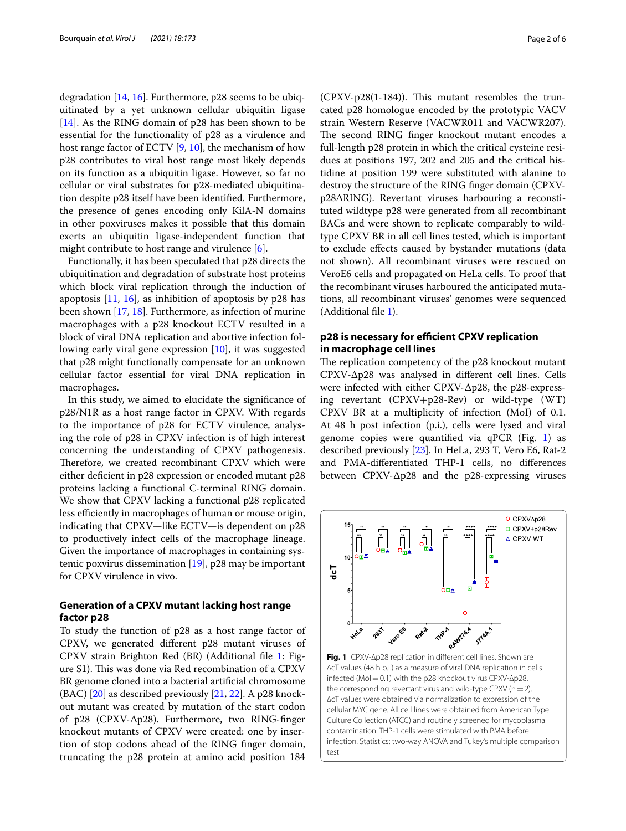degradation [\[14](#page-4-12), [16\]](#page-4-14). Furthermore, p28 seems to be ubiquitinated by a yet unknown cellular ubiquitin ligase [[14\]](#page-4-12). As the RING domain of p28 has been shown to be essential for the functionality of p28 as a virulence and host range factor of ECTV [[9](#page-4-7), [10\]](#page-4-8), the mechanism of how p28 contributes to viral host range most likely depends on its function as a ubiquitin ligase. However, so far no cellular or viral substrates for p28-mediated ubiquitination despite p28 itself have been identifed. Furthermore, the presence of genes encoding only KilA-N domains in other poxviruses makes it possible that this domain exerts an ubiquitin ligase-independent function that might contribute to host range and virulence [[6\]](#page-4-5).

Functionally, it has been speculated that p28 directs the ubiquitination and degradation of substrate host proteins which block viral replication through the induction of apoptosis  $[11, 16]$  $[11, 16]$  $[11, 16]$  $[11, 16]$ , as inhibition of apoptosis by p28 has been shown [\[17](#page-4-15), [18\]](#page-4-16). Furthermore, as infection of murine macrophages with a p28 knockout ECTV resulted in a block of viral DNA replication and abortive infection following early viral gene expression [\[10](#page-4-8)], it was suggested that p28 might functionally compensate for an unknown cellular factor essential for viral DNA replication in macrophages.

In this study, we aimed to elucidate the signifcance of p28/N1R as a host range factor in CPXV. With regards to the importance of p28 for ECTV virulence, analysing the role of p28 in CPXV infection is of high interest concerning the understanding of CPXV pathogenesis. Therefore, we created recombinant CPXV which were either deficient in p28 expression or encoded mutant p28 proteins lacking a functional C-terminal RING domain. We show that CPXV lacking a functional p28 replicated less efficiently in macrophages of human or mouse origin, indicating that CPXV—like ECTV—is dependent on p28 to productively infect cells of the macrophage lineage. Given the importance of macrophages in containing systemic poxvirus dissemination [[19](#page-4-17)], p28 may be important for CPXV virulence in vivo.

## **Generation of a CPXV mutant lacking host range factor p28**

To study the function of p28 as a host range factor of CPXV, we generated diferent p28 mutant viruses of CPXV strain Brighton Red (BR) (Additional fle [1](#page-4-18): Figure S1). This was done via Red recombination of a CPXV BR genome cloned into a bacterial artifcial chromosome  $(BAC)$  [\[20](#page-4-19)] as described previously [[21,](#page-4-20) [22\]](#page-4-21). A p28 knockout mutant was created by mutation of the start codon of p28 (CPXV-∆p28). Furthermore, two RING-fnger knockout mutants of CPXV were created: one by insertion of stop codons ahead of the RING fnger domain, truncating the p28 protein at amino acid position 184  $(CPXV-p28(1-184))$ . This mutant resembles the truncated p28 homologue encoded by the prototypic VACV strain Western Reserve (VACWR011 and VACWR207). The second RING finger knockout mutant encodes a full-length p28 protein in which the critical cysteine residues at positions 197, 202 and 205 and the critical histidine at position 199 were substituted with alanine to destroy the structure of the RING fnger domain (CPXVp28∆RING). Revertant viruses harbouring a reconstituted wildtype p28 were generated from all recombinant BACs and were shown to replicate comparably to wildtype CPXV BR in all cell lines tested, which is important to exclude efects caused by bystander mutations (data not shown). All recombinant viruses were rescued on VeroE6 cells and propagated on HeLa cells. To proof that the recombinant viruses harboured the anticipated mutations, all recombinant viruses' genomes were sequenced (Additional fle [1](#page-4-18)).

## **p28 is necessary for efficient CPXV replication in macrophage cell lines**

The replication competency of the p28 knockout mutant CPXV-∆p28 was analysed in diferent cell lines. Cells were infected with either CPXV-∆p28, the p28-expressing revertant (CPXV+p28-Rev) or wild-type (WT) CPXV BR at a multiplicity of infection (MoI) of 0.1. At 48 h post infection (p.i.), cells were lysed and viral genome copies were quantified via  $qPCR$  (Fig. [1](#page-1-0)) as described previously [\[23\]](#page-4-22). In HeLa, 293 T, Vero E6, Rat-2 and PMA-diferentiated THP-1 cells, no diferences between CPXV-∆p28 and the p28-expressing viruses



<span id="page-1-0"></span>**Fig. 1** CPXV-∆p28 replication in diferent cell lines. Shown are ∆cT values (48 h p.i.) as a measure of viral DNA replication in cells infected (MoI=0.1) with the p28 knockout virus CPXV-∆p28, the corresponding revertant virus and wild-type CPXV ( $n=2$ ). ∆cT values were obtained via normalization to expression of the cellular MYC gene. All cell lines were obtained from American Type Culture Collection (ATCC) and routinely screened for mycoplasma contamination. THP-1 cells were stimulated with PMA before infection. Statistics: two-way ANOVA and Tukey's multiple comparison test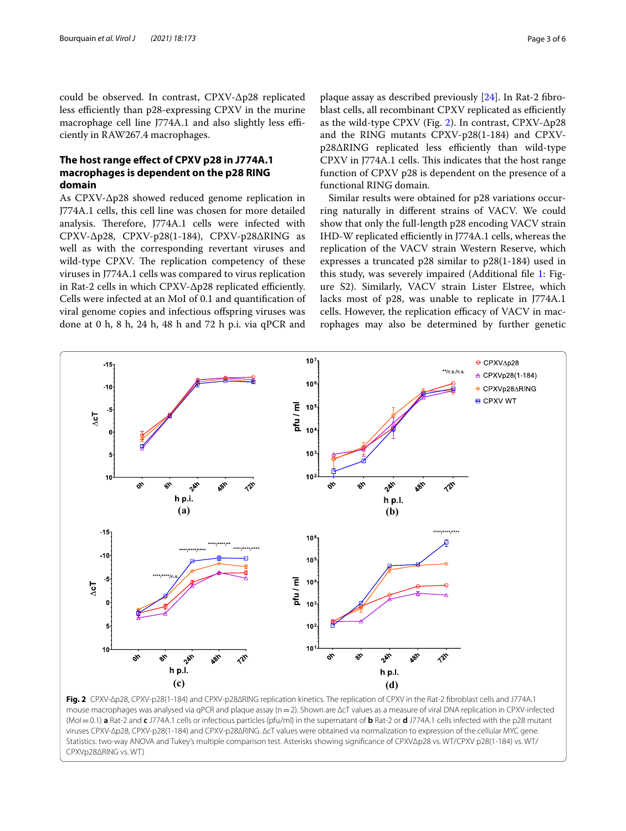could be observed. In contrast, CPXV-∆p28 replicated less efficiently than p28-expressing CPXV in the murine macrophage cell line J774A.1 and also slightly less efficiently in RAW267.4 macrophages.

## **The host range efect of CPXV p28 in J774A.1 macrophages is dependent on the p28 RING domain**

As CPXV-∆p28 showed reduced genome replication in J774A.1 cells, this cell line was chosen for more detailed analysis. Therefore, J774A.1 cells were infected with CPXV-∆p28, CPXV-p28(1-184), CPXV-p28∆RING as well as with the corresponding revertant viruses and wild-type CPXV. The replication competency of these viruses in J774A.1 cells was compared to virus replication in Rat-2 cells in which CPXV-∆p28 replicated efficiently. Cells were infected at an MoI of 0.1 and quantifcation of viral genome copies and infectious ofspring viruses was done at 0 h, 8 h, 24 h, 48 h and 72 h p.i. via qPCR and plaque assay as described previously [[24\]](#page-4-23). In Rat-2 fbroblast cells, all recombinant CPXV replicated as efficiently as the wild-type CPXV (Fig. [2\)](#page-2-0). In contrast, CPXV-∆p28 and the RING mutants CPXV-p28(1-184) and CPXVp28∆RING replicated less efficiently than wild-type CPXV in J774A.1 cells. This indicates that the host range function of CPXV p28 is dependent on the presence of a functional RING domain.

Similar results were obtained for p28 variations occurring naturally in diferent strains of VACV. We could show that only the full-length p28 encoding VACV strain IHD-W replicated efficiently in J774A.1 cells, whereas the replication of the VACV strain Western Reserve, which expresses a truncated p28 similar to p28(1-184) used in this study, was severely impaired (Additional file [1:](#page-4-18) Figure S2). Similarly, VACV strain Lister Elstree, which lacks most of p28, was unable to replicate in J774A.1 cells. However, the replication efficacy of VACV in macrophages may also be determined by further genetic



<span id="page-2-0"></span>**Fig. 2** CPXV-∆p28, CPXV-p28(1-184) and CPXV-p28∆RING replication kinetics. The replication of CPXV in the Rat-2 fbroblast cells and J774A.1 mouse macrophages was analysed via qPCR and plaque assay (n=2). Shown are ∆cT values as a measure of viral DNA replication in CPXV-infected (MoI=0.1) **a** Rat-2 and **c** J774A.1 cells or infectious particles (pfu/ml) in the supernatant of **b** Rat-2 or **d** J774A.1 cells infected with the p28 mutant viruses CPXV-∆p28, CPXV-p28(1-184) and CPXV-p28∆RING. ∆cT values were obtained via normalization to expression of the cellular MYC gene. Statistics: two-way ANOVA and Tukey's multiple comparison test. Asterisks showing signifcance of CPXVΔp28 vs. WT/CPXV p28(1-184) vs. WT/ CPXVp28ΔRING vs. WT)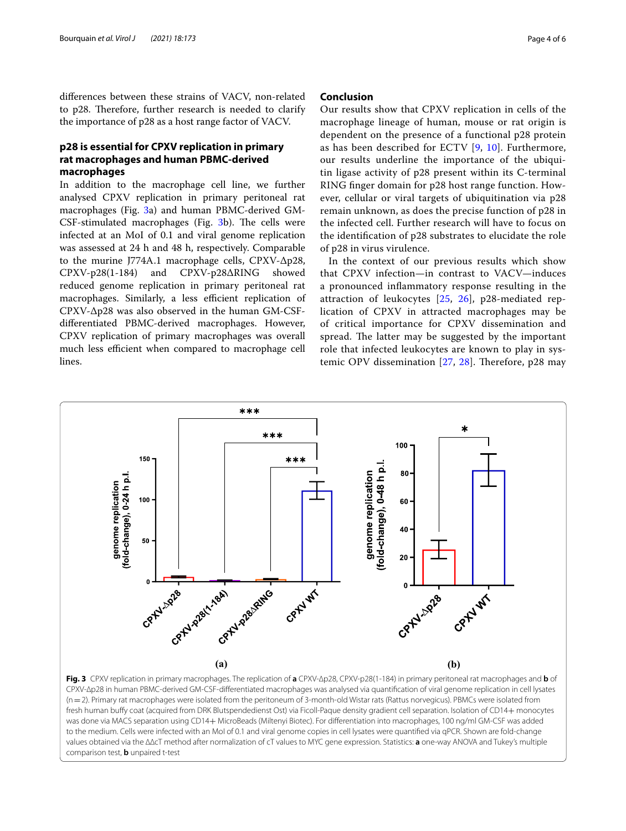diferences between these strains of VACV, non-related to p28. Therefore, further research is needed to clarify the importance of p28 as a host range factor of VACV.

## **p28 is essential for CPXV replication in primary rat macrophages and human PBMC‑derived macrophages**

In addition to the macrophage cell line, we further analysed CPXV replication in primary peritoneal rat macrophages (Fig. [3a](#page-3-0)) and human PBMC-derived GM- $CSF$ -stimulated macrophages (Fig.  $3b$  $3b$ ). The cells were infected at an MoI of 0.1 and viral genome replication was assessed at 24 h and 48 h, respectively. Comparable to the murine J774A.1 macrophage cells, CPXV-∆p28, CPXV-p28(1-184) and CPXV-p28∆RING showed reduced genome replication in primary peritoneal rat macrophages. Similarly, a less efficient replication of CPXV-∆p28 was also observed in the human GM-CSFdiferentiated PBMC-derived macrophages. However, CPXV replication of primary macrophages was overall much less efficient when compared to macrophage cell lines.

#### **Conclusion**

Our results show that CPXV replication in cells of the macrophage lineage of human, mouse or rat origin is dependent on the presence of a functional p28 protein as has been described for ECTV [[9](#page-4-7), [10](#page-4-8)]. Furthermore, our results underline the importance of the ubiquitin ligase activity of p28 present within its C-terminal RING fnger domain for p28 host range function. However, cellular or viral targets of ubiquitination via p28 remain unknown, as does the precise function of p28 in the infected cell. Further research will have to focus on the identifcation of p28 substrates to elucidate the role of p28 in virus virulence.

In the context of our previous results which show that CPXV infection—in contrast to VACV—induces a pronounced infammatory response resulting in the attraction of leukocytes [\[25](#page-4-24), [26](#page-5-0)], p28-mediated replication of CPXV in attracted macrophages may be of critical importance for CPXV dissemination and spread. The latter may be suggested by the important role that infected leukocytes are known to play in systemic OPV dissemination  $[27, 28]$  $[27, 28]$  $[27, 28]$  $[27, 28]$ . Therefore, p28 may



<span id="page-3-0"></span>fresh human bufy coat (acquired from DRK Blutspendedienst Ost) via Ficoll-Paque density gradient cell separation. Isolation of CD14+ monocytes was done via MACS separation using CD14+ MicroBeads (Miltenyi Biotec). For diferentiation into macrophages, 100 ng/ml GM-CSF was added to the medium. Cells were infected with an MoI of 0.1 and viral genome copies in cell lysates were quantifed via qPCR. Shown are fold-change values obtained via the ∆∆cT method after normalization of cT values to MYC gene expression. Statistics: **a** one-way ANOVA and Tukey's multiple comparison test, **b** unpaired t-test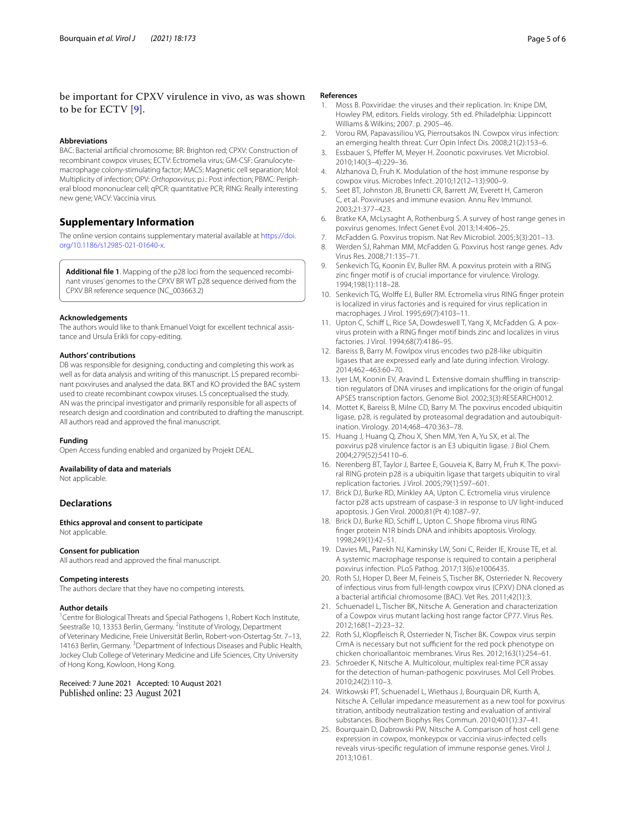## be important for CPXV virulence in vivo, as was shown to be for ECTV [\[9](#page-4-7)].

#### **Abbreviations**

BAC: Bacterial artifcial chromosome; BR: Brighton red; CPXV: Construction of recombinant cowpox viruses; ECTV: Ectromelia virus; GM-CSF: Granulocytemacrophage colony-stimulating factor; MACS: Magnetic cell separation; MoI: Multiplicity of infection; OPV: *Orthopoxvirus*; p.i.: Post infection; PBMC: Peripheral blood mononuclear cell; qPCR: quantitative PCR; RING: Really interesting new gene; VACV: Vaccinia virus.

## **Supplementary Information**

The online version contains supplementary material available at [https://doi.](https://doi.org/10.1186/s12985-021-01640-x) [org/10.1186/s12985-021-01640-x.](https://doi.org/10.1186/s12985-021-01640-x)

<span id="page-4-18"></span>**Additional fle 1**. Mapping of the p28 loci from the sequenced recombinant viruses' genomes to the CPXV BR WT p28 sequence derived from the CPXV BR reference sequence (NC\_003663.2)

#### **Acknowledgements**

The authors would like to thank Emanuel Voigt for excellent technical assistance and Ursula Erikli for copy-editing.

#### **Authors' contributions**

DB was responsible for designing, conducting and completing this work as well as for data analysis and writing of this manuscript. LS prepared recombinant poxviruses and analysed the data. BKT and KO provided the BAC system used to create recombinant cowpox viruses. LS conceptualised the study. AN was the principal investigator and primarily responsible for all aspects of research design and coordination and contributed to drafting the manuscript. All authors read and approved the fnal manuscript.

#### **Funding**

Open Access funding enabled and organized by Projekt DEAL.

#### **Availability of data and materials**

Not applicable.

#### **Declarations**

**Ethics approval and consent to participate** Not applicable.

#### **Consent for publication**

All authors read and approved the fnal manuscript.

#### **Competing interests**

The authors declare that they have no competing interests.

#### **Author details**

<sup>1</sup> Centre for Biological Threats and Special Pathogens 1, Robert Koch Institute, Seestraße 10, 13353 Berlin, Germany. <sup>2</sup>Institute of Virology, Department of Veterinary Medicine, Freie Universität Berlin, Robert-von-Ostertag-Str. 7–13, 14163 Berlin, Germany. <sup>3</sup> Department of Infectious Diseases and Public Health, Jockey Club College of Veterinary Medicine and Life Sciences, City University of Hong Kong, Kowloon, Hong Kong.

Received: 7 June 2021 Accepted: 10 August 2021

#### **References**

- <span id="page-4-0"></span>1. Moss B. Poxviridae: the viruses and their replication. In: Knipe DM, Howley PM, editors. Fields virology. 5th ed. Philadelphia: Lippincott Williams & Wilkins; 2007. p. 2905–46.
- <span id="page-4-1"></span>2. Vorou RM, Papavassiliou VG, Pierroutsakos IN. Cowpox virus infection: an emerging health threat. Curr Opin Infect Dis. 2008;21(2):153–6.
- <span id="page-4-2"></span>3. Essbauer S, Pfefer M, Meyer H. Zoonotic poxviruses. Vet Microbiol. 2010;140(3–4):229–36.
- <span id="page-4-3"></span>4. Alzhanova D, Fruh K. Modulation of the host immune response by cowpox virus. Microbes Infect. 2010;12(12–13):900–9.
- 5. Seet BT, Johnston JB, Brunetti CR, Barrett JW, Everett H, Cameron C, et al. Poxviruses and immune evasion. Annu Rev Immunol. 2003;21:377–423.
- <span id="page-4-5"></span>6. Bratke KA, McLysaght A, Rothenburg S. A survey of host range genes in poxvirus genomes. Infect Genet Evol. 2013;14:406–25.
- <span id="page-4-4"></span>7. McFadden G. Poxvirus tropism. Nat Rev Microbiol. 2005;3(3):201–13.
- <span id="page-4-6"></span>8. Werden SJ, Rahman MM, McFadden G. Poxvirus host range genes. Adv Virus Res. 2008;71:135–71.
- <span id="page-4-7"></span>9. Senkevich TG, Koonin EV, Buller RM. A poxvirus protein with a RING zinc fnger motif is of crucial importance for virulence. Virology. 1994;198(1):118–28.
- <span id="page-4-8"></span>10. Senkevich TG, Wolfe EJ, Buller RM. Ectromelia virus RING fnger protein is localized in virus factories and is required for virus replication in macrophages. J Virol. 1995;69(7):4103–11.
- <span id="page-4-9"></span>11. Upton C, Schiff L, Rice SA, Dowdeswell T, Yang X, McFadden G. A poxvirus protein with a RING fnger motif binds zinc and localizes in virus factories. J Virol. 1994;68(7):4186–95.
- <span id="page-4-10"></span>12. Bareiss B, Barry M. Fowlpox virus encodes two p28-like ubiquitin ligases that are expressed early and late during infection. Virology. 2014;462–463:60–70.
- <span id="page-4-11"></span>13. Iyer LM, Koonin EV, Aravind L. Extensive domain shuffling in transcription regulators of DNA viruses and implications for the origin of fungal APSES transcription factors. Genome Biol. 2002;3(3):RESEARCH0012.
- <span id="page-4-12"></span>14. Mottet K, Bareiss B, Milne CD, Barry M. The poxvirus encoded ubiquitin ligase, p28, is regulated by proteasomal degradation and autoubiquitination. Virology. 2014;468–470:363–78.
- <span id="page-4-13"></span>15. Huang J, Huang Q, Zhou X, Shen MM, Yen A, Yu SX, et al. The poxvirus p28 virulence factor is an E3 ubiquitin ligase. J Biol Chem. 2004;279(52):54110–6.
- <span id="page-4-14"></span>16. Nerenberg BT, Taylor J, Bartee E, Gouveia K, Barry M, Fruh K. The poxviral RING protein p28 is a ubiquitin ligase that targets ubiquitin to viral replication factories. J Virol. 2005;79(1):597–601.
- <span id="page-4-15"></span>17. Brick DJ, Burke RD, Minkley AA, Upton C. Ectromelia virus virulence factor p28 acts upstream of caspase-3 in response to UV light-induced apoptosis. J Gen Virol. 2000;81(Pt 4):1087–97.
- <span id="page-4-16"></span>18. Brick DJ, Burke RD, Schiff L, Upton C. Shope fibroma virus RING fnger protein N1R binds DNA and inhibits apoptosis. Virology. 1998;249(1):42–51.
- <span id="page-4-17"></span>19. Davies ML, Parekh NJ, Kaminsky LW, Soni C, Reider IE, Krouse TE, et al. A systemic macrophage response is required to contain a peripheral poxvirus infection. PLoS Pathog. 2017;13(6):e1006435.
- <span id="page-4-19"></span>20. Roth SJ, Hoper D, Beer M, Feineis S, Tischer BK, Osterrieder N. Recovery of infectious virus from full-length cowpox virus (CPXV) DNA cloned as a bacterial artifcial chromosome (BAC). Vet Res. 2011;42(1):3.
- <span id="page-4-20"></span>21. Schuenadel L, Tischer BK, Nitsche A. Generation and characterization of a Cowpox virus mutant lacking host range factor CP77. Virus Res. 2012;168(1–2):23–32.
- <span id="page-4-21"></span>22. Roth SJ, Klopfeisch R, Osterrieder N, Tischer BK. Cowpox virus serpin CrmA is necessary but not sufficient for the red pock phenotype on chicken chorioallantoic membranes. Virus Res. 2012;163(1):254–61.
- <span id="page-4-22"></span>23. Schroeder K, Nitsche A. Multicolour, multiplex real-time PCR assay for the detection of human-pathogenic poxviruses. Mol Cell Probes. 2010;24(2):110–3.
- <span id="page-4-23"></span>24. Witkowski PT, Schuenadel L, Wiethaus J, Bourquain DR, Kurth A, Nitsche A. Cellular impedance measurement as a new tool for poxvirus titration, antibody neutralization testing and evaluation of antiviral substances. Biochem Biophys Res Commun. 2010;401(1):37–41.
- <span id="page-4-24"></span>25. Bourquain D, Dabrowski PW, Nitsche A. Comparison of host cell gene expression in cowpox, monkeypox or vaccinia virus-infected cells reveals virus-specifc regulation of immune response genes. Virol J. 2013;10:61.